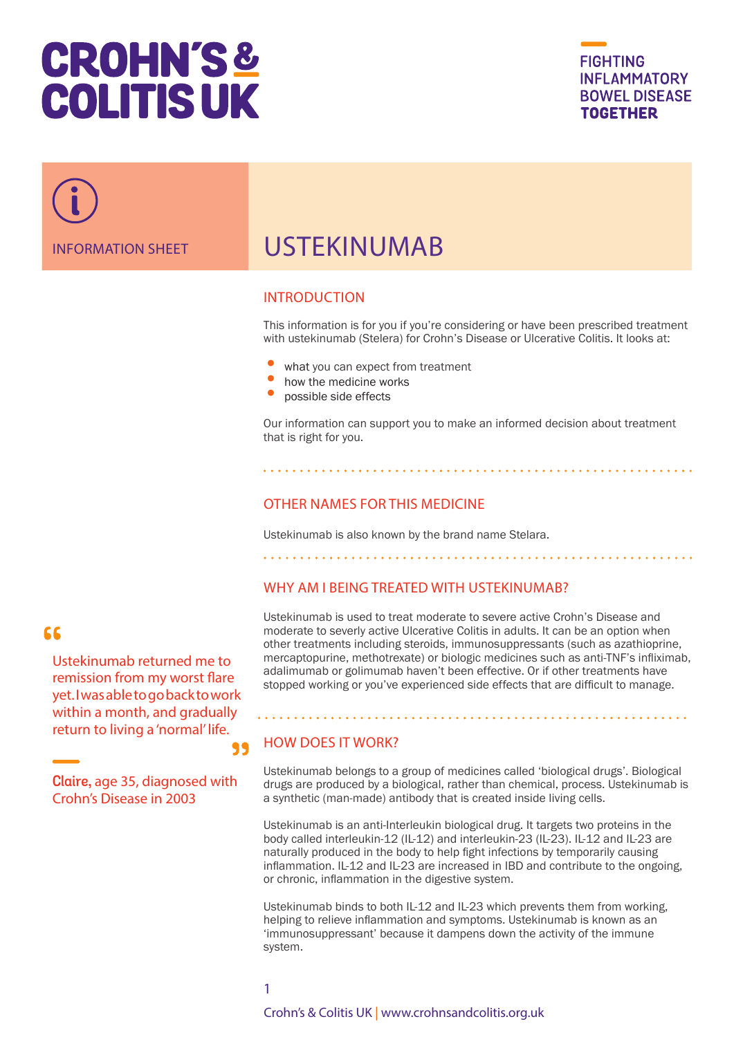# **CROHN'S& COLITIS UK**





# USTEKINUMAB

#### INTRODUCTION

This information is for you if you're considering or have been prescribed treatment with ustekinumab (Stelera) for Crohn's Disease or Ulcerative Colitis. It looks at:

- what you can expect from treatment
- how the medicine works
- possible side effects

Our information can support you to make an informed decision about treatment that is right for you.

### OTHER NAMES FOR THIS MEDICINE

Ustekinumab is also known by the brand name Stelara.

#### WHY AM I BEING TREATED WITH USTEKINUMAB?

#### Ustekinumab is used to treat moderate to severe active Crohn's Disease and moderate to severly active Ulcerative Colitis in adults. It can be an option when other treatments including steroids, immunosuppressants (such as azathioprine, mercaptopurine, methotrexate) or biologic medicines such as anti-TNF's infliximab, adalimumab or golimumab haven't been effective. Or if other treatments have stopped working or you've experienced side effects that are difficult to manage.

#### HOW DOES IT WORK?

Ustekinumab belongs to a group of medicines called 'biological drugs'. Biological drugs are produced by a biological, rather than chemical, process. Ustekinumab is a synthetic (man-made) antibody that is created inside living cells.

Ustekinumab is an anti-Interleukin biological drug. It targets two proteins in the body called interleukin-12 (IL-12) and interleukin-23 (IL-23). IL-12 and IL-23 are naturally produced in the body to help fight infections by temporarily causing inflammation. IL-12 and IL-23 are increased in IBD and contribute to the ongoing, or chronic, inflammation in the digestive system.

Ustekinumab binds to both IL-12 and IL-23 which prevents them from working, helping to relieve inflammation and symptoms. Ustekinumab is known as an 'immunosuppressant' because it dampens down the activity of the immune system.

### $66$

Ustekinumab returned me to remission from my worst flare yet. I was able to go back to work within a month, and gradually return to living a 'normal' life.

**Claire,** age 35, diagnosed with Crohn's Disease in 2003

### 1

99

Crohn's & Colitis UK | www.crohnsandcolitis.org.uk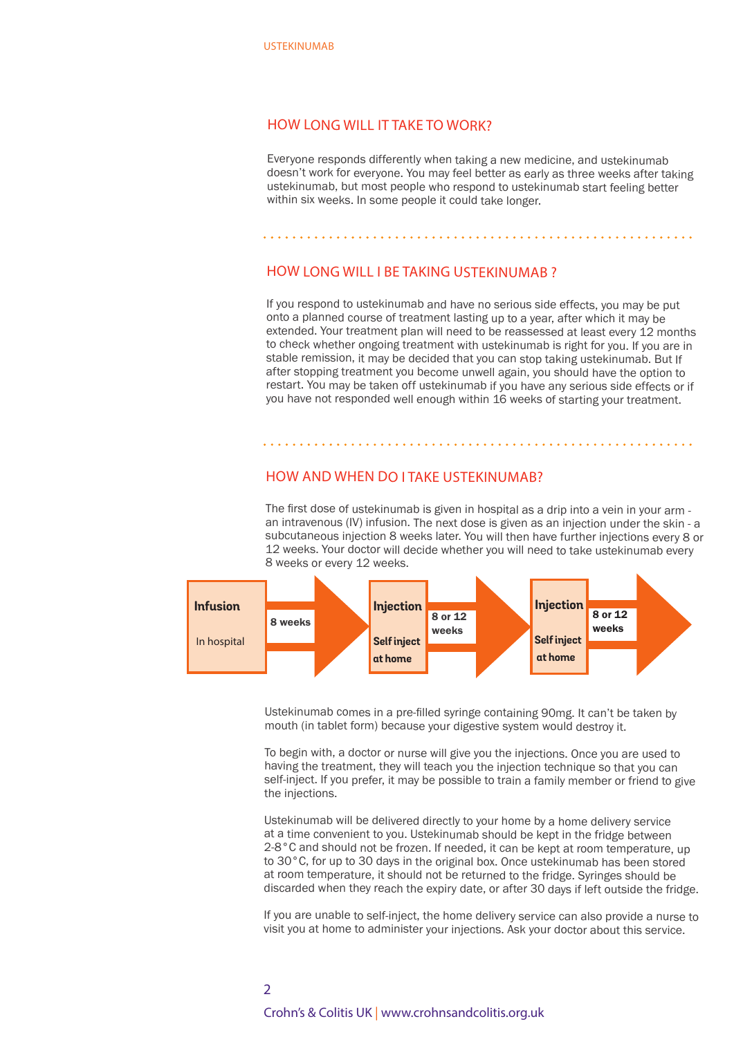#### HOW LONG WILL IT TAKE TO WORK?

Everyone responds differently when taking a new medicine, and ustekinumab doesn't work for everyone. You may feel better as early as three weeks after taking ustekinumab, but most people who respond to ustekinumab start feeling better within six weeks. In some people it could take longer.

#### HOW LONG WILL I BE TAKING USTEKINUMAB ?

If you respond to ustekinumab and have no serious side effects, you may be put onto a planned course of treatment lasting up to a year, after which it may be extended. Your treatment plan will need to be reassessed at least every 12 months to check whether ongoing treatment with ustekinumab is right for you. If you are in stable remission, it may be decided that you can stop taking ustekinumab. But If after stopping treatment you become unwell again, you should have the option to restart. You may be taken off ustekinumab if you have any serious side effects or if you have not responded well enough within 16 weeks of starting your treatment.

#### HOW AND WHEN DO I TAKE USTEKINUMAB?

The first dose of ustekinumab is given in hospital as a drip into a vein in your arm an intravenous (IV) infusion. The next dose is given as an injection under the skin - a subcutaneous injection 8 weeks later. You will then have further injections every 8 or 12 weeks. Your doctor will decide whether you will need to take ustekinumab every 8 weeks or every 12 weeks.



Ustekinumab comes in a pre-filled syringe containing 90mg. It can't be taken by mouth (in tablet form) because your digestive system would destroy it.

To begin with, a doctor or nurse will give you the injections. Once you are used to having the treatment, they will teach you the injection technique so that you can self-inject. If you prefer, it may be possible to train a family member or friend to give the injections.

Ustekinumab will be delivered directly to your home by a home delivery service at a time convenient to you. Ustekinumab should be kept in the fridge between 2-8°C and should not be frozen. If needed, it can be kept at room temperature, up to 30°C, for up to 30 days in the original box. Once ustekinumab has been stored at room temperature, it should not be returned to the fridge. Syringes should be discarded when they reach the expiry date, or after 30 days if left outside the fridge.

If you are unable to self-inject, the home delivery service can also provide a nurse to visit you at home to administer your injections. Ask your doctor about this service.

## Crohn's & Colitis UK | www.crohnsandcolitis.org.uk  $\overline{\mathcal{L}}$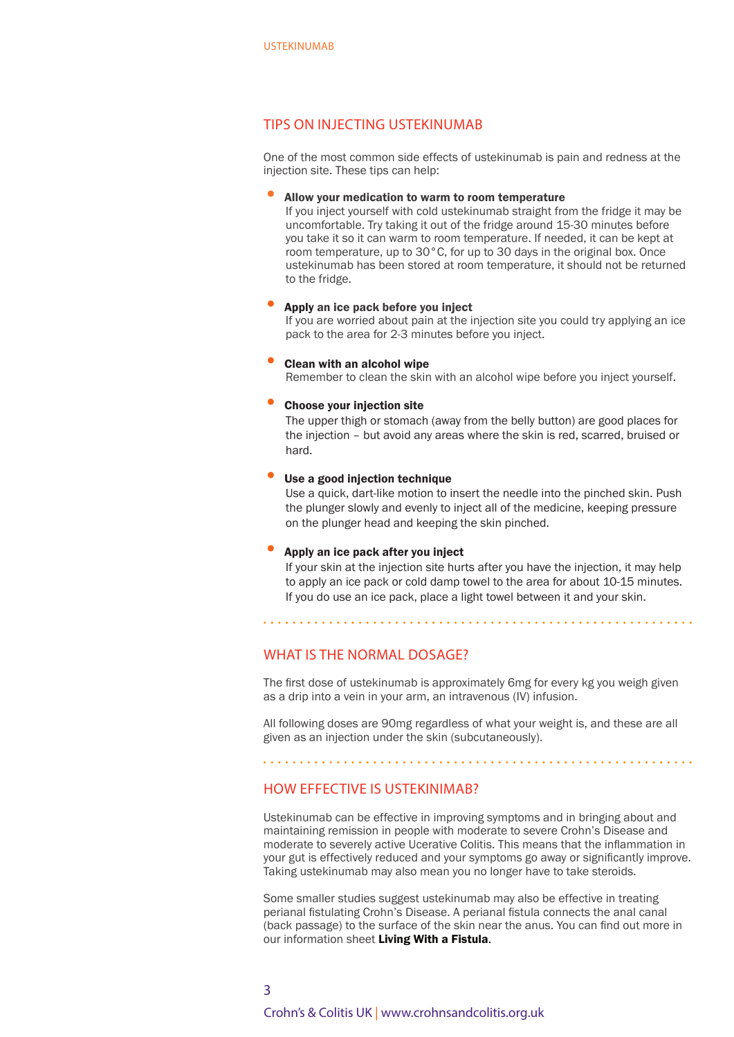#### TIPS ON INJECTING USTEKINUMAB

One of the most common side effects of ustekinumab is pain and redness at the injection site. These tips can help:

#### • Allow your medication to warm to room temperature

If you inject yourself with cold ustekinumab straight from the fridge it may be uncomfortable. Try taking it out of the fridge around 15-30 minutes before you take it so it can warm to room temperature. If needed, it can be kept at room temperature, up to 30°C, for up to 30 days in the original box. Once ustekinumab has been stored at room temperature, it should not be returned to the fridge.

#### • Apply an ice pack before you inject

If you are worried about pain at the injection site you could try applying an ice pack to the area for 2-3 minutes before you inject.

#### • Clean with an alcohol wipe

Remember to clean the skin with an alcohol wipe before you inject yourself.

#### • Choose your injection site

The upper thigh or stomach (away from the belly button) are good places for the injection – but avoid any areas where the skin is red, scarred, bruised or hard.

#### Use a good injection technique

Use a quick, dart-like motion to insert the needle into the pinched skin. Push the plunger slowly and evenly to inject all of the medicine, keeping pressure on the plunger head and keeping the skin pinched.

#### • Apply an ice pack after you inject

If your skin at the injection site hurts after you have the injection, it may help to apply an ice pack or cold damp towel to the area for about 10-15 minutes. If you do use an ice pack, place a light towel between it and your skin.

#### WHAT IS THE NORMAL DOSAGE?

The first dose of ustekinumab is approximately 6mg for every kg you weigh given as a drip into a vein in your arm, an intravenous (IV) infusion.

All following doses are 90mg regardless of what your weight is, and these are all given as an injection under the skin (subcutaneously).

### HOW EFFECTIVE IS USTEKINIMAB?

Ustekinumab can be effective in improving symptoms and in bringing about and maintaining remission in people with moderate to severe Crohn's Disease and moderate to severely active Ucerative Colitis. This means that the inflammation in your gut is effectively reduced and your symptoms go away or significantly improve. Taking ustekinumab may also mean you no longer have to take steroids.

Some smaller studies suggest ustekinumab may also be effective in treating perianal fistulating Crohn's Disease. A perianal fistula connects the anal canal (back passage) to the surface of the skin near the anus. You can find out more in our information sheet Living With a Fistula.

## Crohn's & Colitis UK | www.crohnsandcolitis.org.uk 3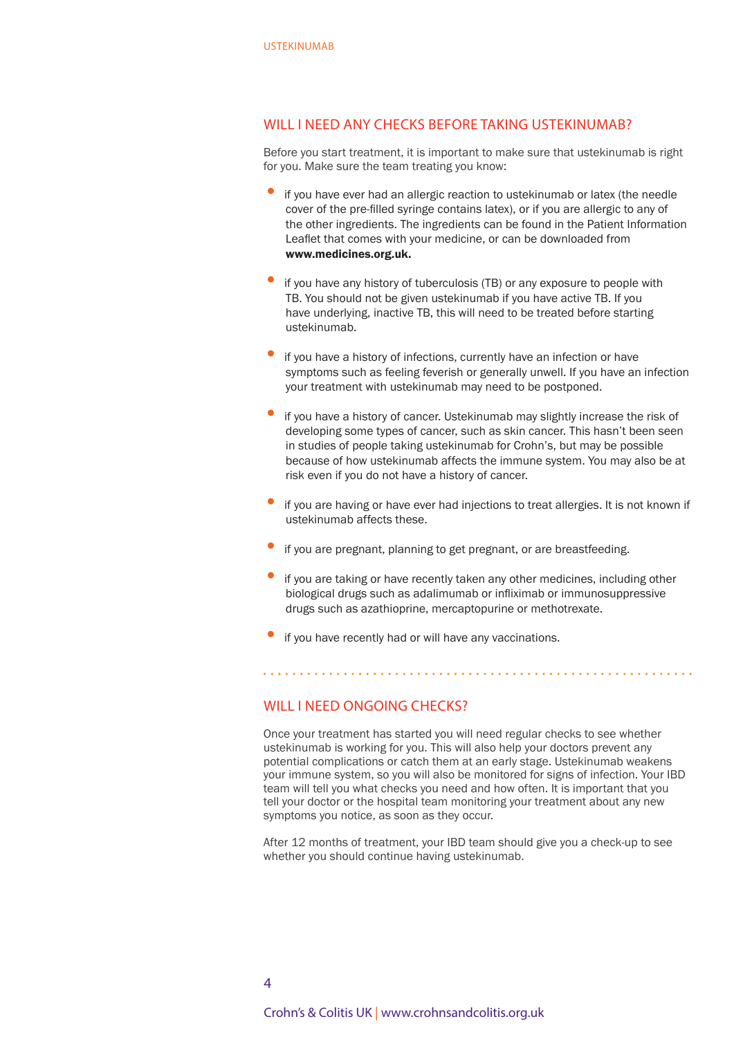#### WILL I NEED ANY CHECKS BEFORE TAKING USTEKINUMAB?

Before you start treatment, it is important to make sure that ustekinumab is right for you. Make sure the team treating you know:

- if you have ever had an allergic reaction to ustekinumab or latex (the needle cover of the pre-filled syringe contains latex), or if you are allergic to any of the other ingredients. The ingredients can be found in the Patient Information Leaflet that comes with your medicine, or can be downloaded from www.medicines.org.uk.
- if you have any history of tuberculosis (TB) or any exposure to people with TB. You should not be given ustekinumab if you have active TB. If you have underlying, inactive TB, this will need to be treated before starting ustekinumab.
- if you have a history of infections, currently have an infection or have symptoms such as feeling feverish or generally unwell. If you have an infection your treatment with ustekinumab may need to be postponed.
- if you have a history of cancer. Ustekinumab may slightly increase the risk of developing some types of cancer, such as skin cancer. This hasn't been seen in studies of people taking ustekinumab for Crohn's, but may be possible because of how ustekinumab affects the immune system. You may also be at risk even if you do not have a history of cancer.
- if you are having or have ever had injections to treat allergies. It is not known if ustekinumab affects these.
- if you are pregnant, planning to get pregnant, or are breastfeeding.
- if you are taking or have recently taken any other medicines, including other biological drugs such as adalimumab or infliximab or immunosuppressive drugs such as azathioprine, mercaptopurine or methotrexate.
- if you have recently had or will have any vaccinations.

#### WILL LNEED ONGOING CHECKS?

Once your treatment has started you will need regular checks to see whether ustekinumab is working for you. This will also help your doctors prevent any potential complications or catch them at an early stage. Ustekinumab weakens your immune system, so you will also be monitored for signs of infection. Your IBD team will tell you what checks you need and how often. It is important that you tell your doctor or the hospital team monitoring your treatment about any new symptoms you notice, as soon as they occur.

After 12 months of treatment, your IBD team should give you a check-up to see whether you should continue having ustekinumab.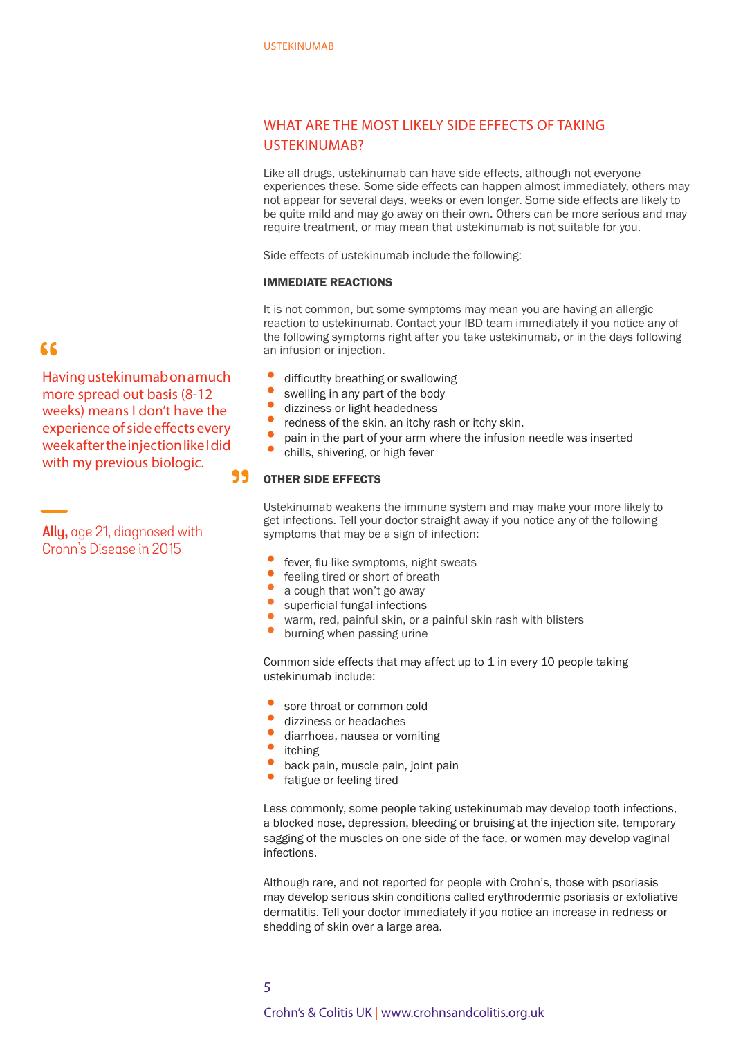### WHAT ARE THE MOST LIKELY SIDE FEFECTS OF TAKING USTEKINUMAB?

Like all drugs, ustekinumab can have side effects, although not everyone experiences these. Some side effects can happen almost immediately, others may not appear for several days, weeks or even longer. Some side effects are likely to be quite mild and may go away on their own. Others can be more serious and may require treatment, or may mean that ustekinumab is not suitable for you.

Side effects of ustekinumab include the following:

#### IMMEDIATE REACTIONS

It is not common, but some symptoms may mean you are having an allergic reaction to ustekinumab. Contact your IBD team immediately if you notice any of the following symptoms right after you take ustekinumab, or in the days following an infusion or injection.

- difficutlty breathing or swallowing
- swelling in any part of the body
- dizziness or light-headedness
- redness of the skin, an itchy rash or itchy skin.
- pain in the part of your arm where the infusion needle was inserted
- chills, shivering, or high fever

#### 99 OTHER SIDE EFFECTS

Ustekinumab weakens the immune system and may make your more likely to get infections. Tell your doctor straight away if you notice any of the following symptoms that may be a sign of infection:

- fever, flu-like symptoms, night sweats
- feeling tired or short of breath
- a cough that won't go away
- superficial fungal infections
- warm, red, painful skin, or a painful skin rash with blisters
	- burning when passing urine

Common side effects that may affect up to 1 in every 10 people taking ustekinumab include:

- sore throat or common cold
- dizziness or headaches
- diarrhoea, nausea or vomiting
- itching
- back pain, muscle pain, joint pain
- fatigue or feeling tired

Less commonly, some people taking ustekinumab may develop tooth infections, a blocked nose, depression, bleeding or bruising at the injection site, temporary sagging of the muscles on one side of the face, or women may develop vaginal infections.

Although rare, and not reported for people with Crohn's, those with psoriasis may develop serious skin conditions called erythrodermic psoriasis or exfoliative dermatitis. Tell your doctor immediately if you notice an increase in redness or shedding of skin over a large area.

## 66

Having ustekinumab on a much more spread out basis (8-12 weeks) means I don't have the experience of side effects every week after the injection like I did with my previous biologic.

**Ally,** age 21, diagnosed with Crohn's Disease in 2015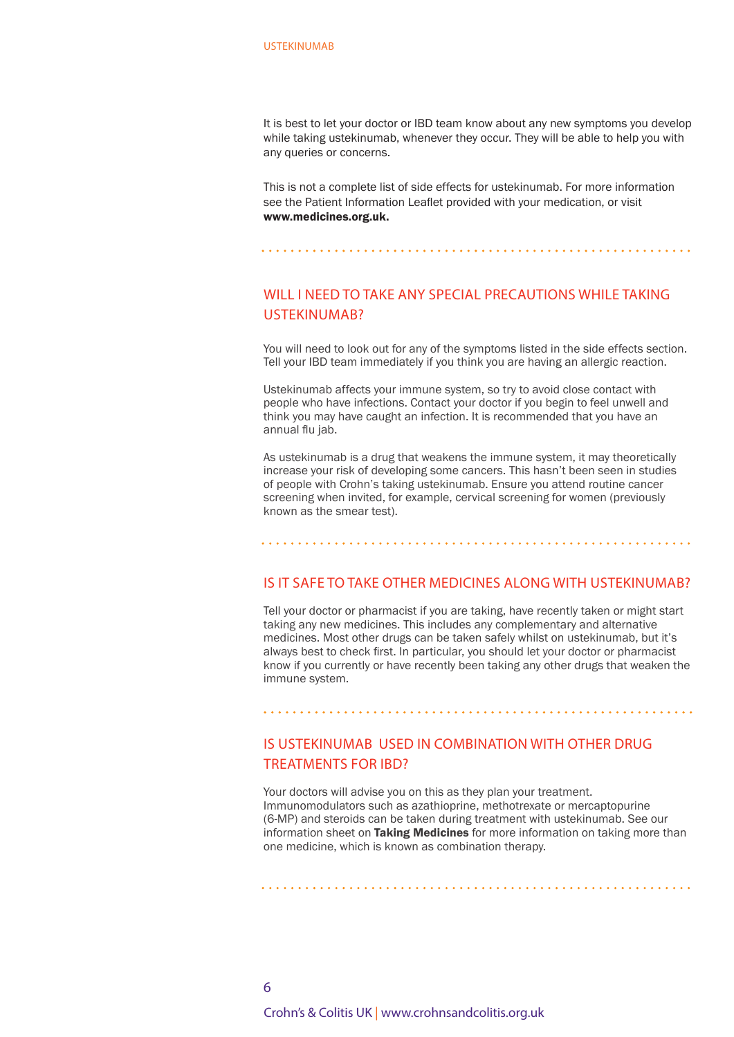It is best to let your doctor or IBD team know about any new symptoms you develop while taking ustekinumab, whenever they occur. They will be able to help you with any queries or concerns.

This is not a complete list of side effects for ustekinumab. For more information see the Patient Information Leaflet provided with your medication, or visit www.medicines.org.uk.

### WILL I NEED TO TAKE ANY SPECIAL PRECAUTIONS WHILE TAKING USTEKINUMAB?

You will need to look out for any of the symptoms listed in the side effects section. Tell your IBD team immediately if you think you are having an allergic reaction.

Ustekinumab affects your immune system, so try to avoid close contact with people who have infections. Contact your doctor if you begin to feel unwell and think you may have caught an infection. It is recommended that you have an annual flu jab.

As ustekinumab is a drug that weakens the immune system, it may theoretically increase your risk of developing some cancers. This hasn't been seen in studies of people with Crohn's taking ustekinumab. Ensure you attend routine cancer screening when invited, for example, cervical screening for women (previously known as the smear test).

#### IS IT SAFE TO TAKE OTHER MEDICINES ALONG WITH USTEKINUMAB?

Tell your doctor or pharmacist if you are taking, have recently taken or might start taking any new medicines. This includes any complementary and alternative medicines. Most other drugs can be taken safely whilst on ustekinumab, but it's always best to check first. In particular, you should let your doctor or pharmacist know if you currently or have recently been taking any other drugs that weaken the immune system.

### IS USTEKINUMAB USED IN COMBINATION WITH OTHER DRUG TREATMENTS FOR IBD?

Your doctors will advise you on this as they plan your treatment. Immunomodulators such as azathioprine, methotrexate or mercaptopurine (6-MP) and steroids can be taken during treatment with ustekinumab. See our information sheet on Taking Medicines for more information on taking more than one medicine, which is known as combination therapy.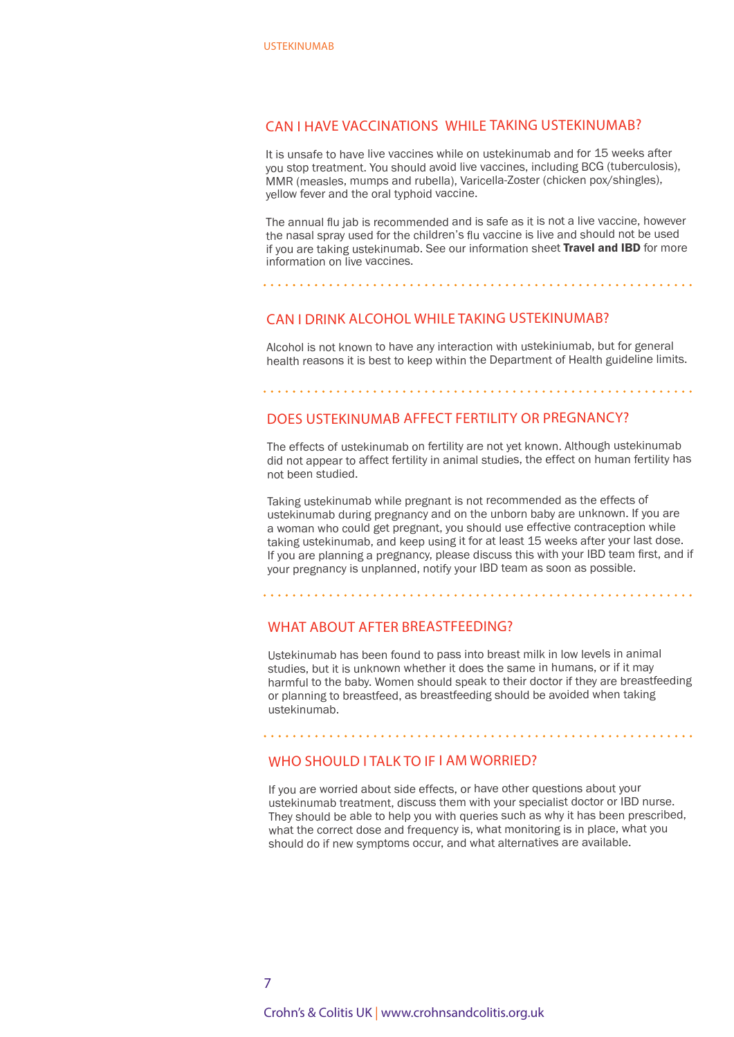#### CAN I HAVE VACCINATIONS WHILE TAKING USTEKINUMAB?

It is unsafe to have live vaccines while on ustekinumab and for 15 weeks after you stop treatment. You should avoid live vaccines, including BCG (tuberculosis), MMR (measles, mumps and rubella), Varicella-Zoster (chicken pox/shingles), yellow fever and the oral typhoid vaccine.

The annual flu jab is recommended and is safe as it is not a live vaccine, however the nasal spray used for the children's flu vaccine is live and should not be used if you are taking ustekinumab. See our information sheet Travel and IBD for more information on live vaccines.

#### CAN I DRINK ALCOHOL WHILE TAKING USTEKINUMAB?

Alcohol is not known to have any interaction with ustekiniumab, but for general health reasons it is best to keep within the Department of Health guideline limits.

#### 

#### DOES USTEKINUMAB AFFECT FERTILITY OR PREGNANCY?

The effects of ustekinumab on fertility are not yet known. Although ustekinumab did not appear to affect fertility in animal studies, the effect on human fertility has not been studied.

Taking ustekinumab while pregnant is not recommended as the effects of ustekinumab during pregnancy and on the unborn baby are unknown. If you are a woman who could get pregnant, you should use effective contraception while taking ustekinumab, and keep using it for at least 15 weeks after your last dose. If you are planning a pregnancy, please discuss this with your IBD team first, and if your pregnancy is unplanned, notify your IBD team as soon as possible.

#### WHAT ABOUT AFTER BREASTFEEDING?

Ustekinumab has been found to pass into breast milk in low levels in animal studies, but it is unknown whether it does the same in humans, or if it may harmful to the baby. Women should speak to their doctor if they are breastfeeding or planning to breastfeed, as breastfeeding should be avoided when taking ustekinumab.

#### WHO SHOULD I TALK TO IF I AM WORRIED?

If you are worried about side effects, or have other questions about your ustekinumab treatment, discuss them with your specialist doctor or IBD nurse. They should be able to help you with queries such as why it has been prescribed, what the correct dose and frequency is, what monitoring is in place, what you should do if new symptoms occur, and what alternatives are available.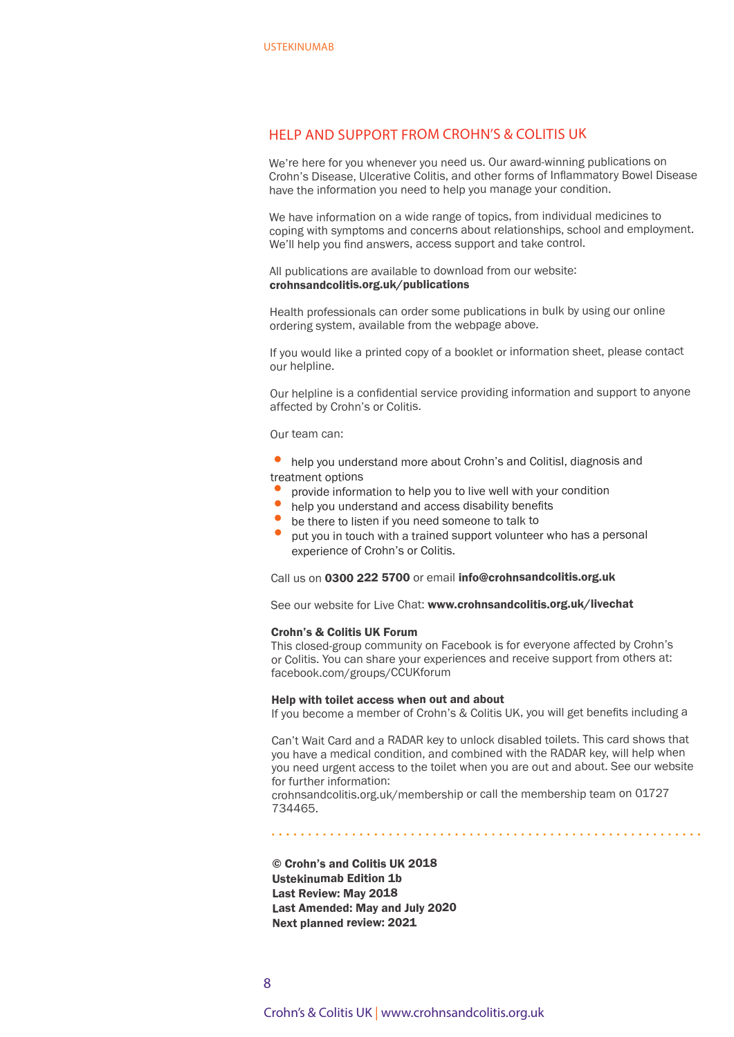#### HELP AND SUPPORT FROM CROHN'S & COLITIS UK

We're here for you whenever you need us. Our award-winning publications on Crohn's Disease, Ulcerative Colitis, and other forms of Inflammatory Bowel Disease have the information you need to help you manage your condition.

We have information on a wide range of topics, from individual medicines to coping with symptoms and concerns about relationships, school and employment. We'll help you find answers, access support and take control.

All publications are available to download from our website: crohnsandcolitis.org.uk/publications

Health professionals can order some publications in bulk by using our online ordering system, available from the webpage above.

If you would like a printed copy of a booklet or information sheet, please contact our helpline.

Our helpline is a confidential service providing information and support to anyone affected by Crohn's or Colitis.

Our team can:

• help you understand more about Crohn's and ColitisI, diagnosis and treatment options

- •provide information to help you to live well with your condition
- •help you understand and access disability benefits
- •be there to listen if you need someone to talk to
- • put you in touch with a trained support volunteer who has a personal experience of Crohn's or Colitis.

Call us on 0300 222 5700 or email info@crohnsandcolitis.org.uk

See our website for Live Chat: www.crohnsandcolitis.org.uk/livechat

#### Crohn's & Colitis UK Forum

This closed-group community on Facebook is for everyone affected by Crohn's or Colitis. You can share your experiences and receive support from others at: facebook.com/groups/CCUKforum

#### Help with toilet access when out and about

If you become a member of Crohn's & Colitis UK, you will get benefits including a

Can't Wait Card and a RADAR key to unlock disabled toilets. This card shows that you have a medical condition, and combined with the RADAR key, will help when you need urgent access to the toilet when you are out and about. See our website for further information:

crohnsandcolitis.org.uk/membership or call the membership team on 01727 734465.

© Crohn's and Colitis UK 2018 Ustekinumab Edition 1b Last Review: May 2018 Last Amended: May and July 2020 Next planned review: 2021